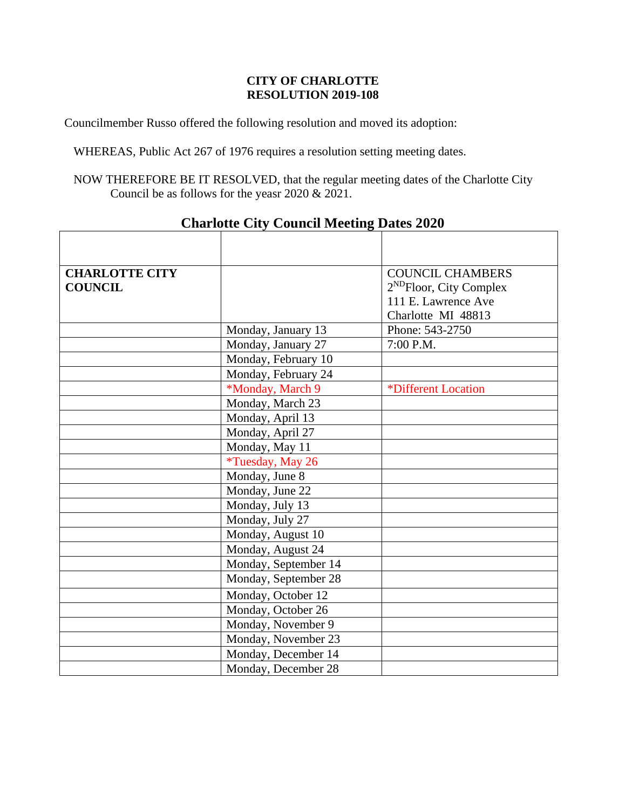## **CITY OF CHARLOTTE RESOLUTION 2019-108**

Councilmember Russo offered the following resolution and moved its adoption:

WHEREAS, Public Act 267 of 1976 requires a resolution setting meeting dates.

NOW THEREFORE BE IT RESOLVED, that the regular meeting dates of the Charlotte City Council be as follows for the yeasr 2020 & 2021.

| <b>CHARLOTTE CITY</b><br><b>COUNCIL</b> |                          | <b>COUNCIL CHAMBERS</b><br>2 <sup>ND</sup> Floor, City Complex<br>111 E. Lawrence Ave<br>Charlotte MI 48813 |
|-----------------------------------------|--------------------------|-------------------------------------------------------------------------------------------------------------|
|                                         | Monday, January 13       | Phone: 543-2750                                                                                             |
|                                         | Monday, January 27       | 7:00 P.M.                                                                                                   |
|                                         | Monday, February 10      |                                                                                                             |
|                                         | Monday, February 24      |                                                                                                             |
|                                         | *Monday, March 9         | *Different Location                                                                                         |
|                                         | Monday, March 23         |                                                                                                             |
|                                         | Monday, April 13         |                                                                                                             |
|                                         | Monday, April 27         |                                                                                                             |
|                                         | Monday, May 11           |                                                                                                             |
|                                         | <i>*Tuesday</i> , May 26 |                                                                                                             |
|                                         | Monday, June 8           |                                                                                                             |
|                                         | Monday, June 22          |                                                                                                             |
|                                         | Monday, July 13          |                                                                                                             |
|                                         | Monday, July 27          |                                                                                                             |
|                                         | Monday, August 10        |                                                                                                             |
|                                         | Monday, August 24        |                                                                                                             |
|                                         | Monday, September 14     |                                                                                                             |
|                                         | Monday, September 28     |                                                                                                             |
|                                         | Monday, October 12       |                                                                                                             |
|                                         | Monday, October 26       |                                                                                                             |
|                                         | Monday, November 9       |                                                                                                             |
|                                         | Monday, November 23      |                                                                                                             |
|                                         | Monday, December 14      |                                                                                                             |
|                                         | Monday, December 28      |                                                                                                             |

## **Charlotte City Council Meeting Dates 2020**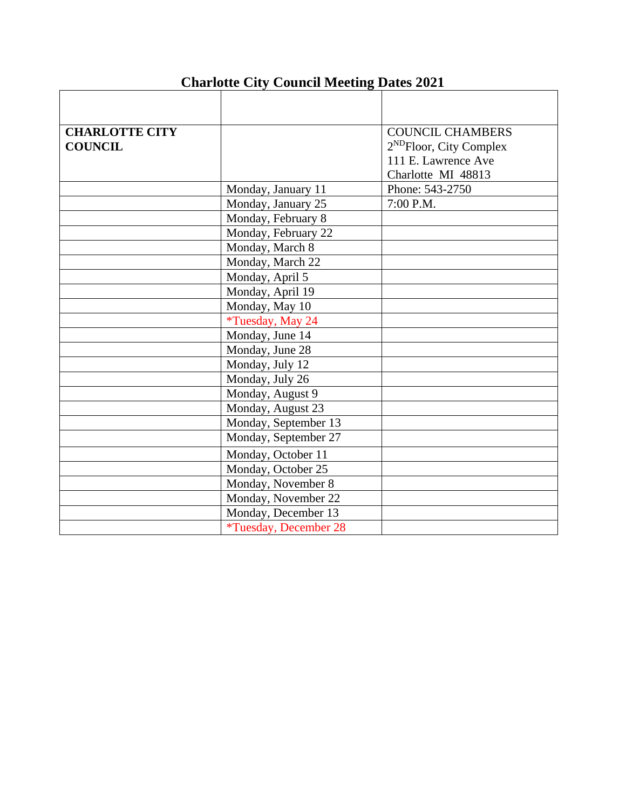| <b>CHARLOTTE CITY</b> |                                      | <b>COUNCIL CHAMBERS</b>                                    |
|-----------------------|--------------------------------------|------------------------------------------------------------|
| <b>COUNCIL</b>        |                                      | 2 <sup>ND</sup> Floor, City Complex<br>111 E. Lawrence Ave |
|                       |                                      |                                                            |
|                       |                                      | Charlotte MI 48813                                         |
|                       | Monday, January 11                   | Phone: 543-2750                                            |
|                       | Monday, January 25                   | 7:00 P.M.                                                  |
|                       | Monday, February 8                   |                                                            |
|                       | Monday, February 22                  |                                                            |
|                       | Monday, March 8                      |                                                            |
|                       | Monday, March 22                     |                                                            |
|                       | Monday, April 5                      |                                                            |
|                       | Monday, April 19                     |                                                            |
|                       | Monday, May 10                       |                                                            |
|                       | *Tuesday, May 24                     |                                                            |
|                       | Monday, June 14                      |                                                            |
|                       | Monday, June 28                      |                                                            |
|                       | Monday, July 12                      |                                                            |
|                       | Monday, July 26                      |                                                            |
|                       | Monday, August 9                     |                                                            |
|                       | Monday, August 23                    |                                                            |
|                       | Monday, September 13                 |                                                            |
|                       | Monday, September 27                 |                                                            |
|                       | Monday, October 11                   |                                                            |
|                       | Monday, October 25                   |                                                            |
|                       | Monday, November 8                   |                                                            |
|                       | Monday, November 22                  |                                                            |
|                       | Monday, December 13                  |                                                            |
|                       | <i><b>*Tuesday</b></i> , December 28 |                                                            |

## **Charlotte City Council Meeting Dates 2021**